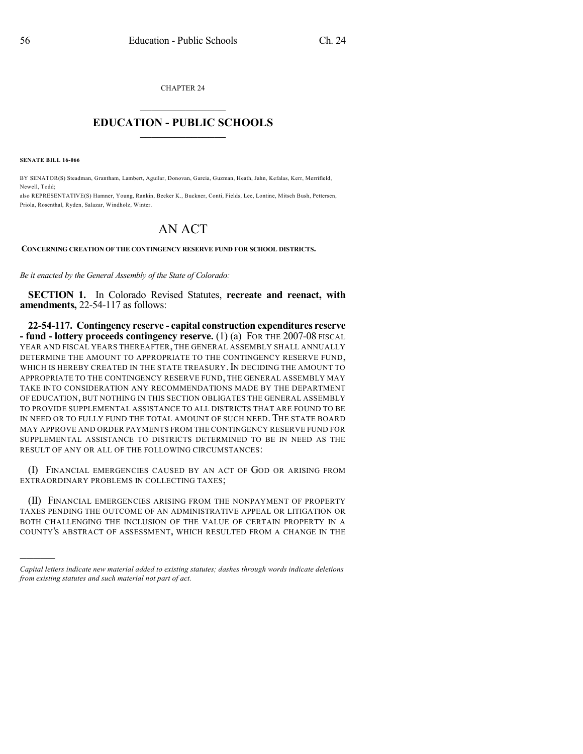CHAPTER 24  $\mathcal{L}_\text{max}$  . The set of the set of the set of the set of the set of the set of the set of the set of the set of the set of the set of the set of the set of the set of the set of the set of the set of the set of the set

## **EDUCATION - PUBLIC SCHOOLS**  $\_$   $\_$   $\_$   $\_$   $\_$   $\_$   $\_$   $\_$   $\_$

**SENATE BILL 16-066**

)))))

BY SENATOR(S) Steadman, Grantham, Lambert, Aguilar, Donovan, Garcia, Guzman, Heath, Jahn, Kefalas, Kerr, Merrifield, Newell, Todd;

also REPRESENTATIVE(S) Hamner, Young, Rankin, Becker K., Buckner, Conti, Fields, Lee, Lontine, Mitsch Bush, Pettersen, Priola, Rosenthal, Ryden, Salazar, Windholz, Winter.

## AN ACT

**CONCERNING CREATION OF THE CONTINGENCY RESERVE FUND FOR SCHOOL DISTRICTS.**

*Be it enacted by the General Assembly of the State of Colorado:*

**SECTION 1.** In Colorado Revised Statutes, **recreate and reenact, with amendments,** 22-54-117 as follows:

**22-54-117. Contingency reserve - capital construction expenditures reserve - fund - lottery proceeds contingency reserve.** (1) (a) FOR THE 2007-08 FISCAL YEAR AND FISCAL YEARS THEREAFTER, THE GENERAL ASSEMBLY SHALL ANNUALLY DETERMINE THE AMOUNT TO APPROPRIATE TO THE CONTINGENCY RESERVE FUND, WHICH IS HEREBY CREATED IN THE STATE TREASURY. IN DECIDING THE AMOUNT TO APPROPRIATE TO THE CONTINGENCY RESERVE FUND, THE GENERAL ASSEMBLY MAY TAKE INTO CONSIDERATION ANY RECOMMENDATIONS MADE BY THE DEPARTMENT OF EDUCATION, BUT NOTHING IN THIS SECTION OBLIGATES THE GENERAL ASSEMBLY TO PROVIDE SUPPLEMENTAL ASSISTANCE TO ALL DISTRICTS THAT ARE FOUND TO BE IN NEED OR TO FULLY FUND THE TOTAL AMOUNT OF SUCH NEED. THE STATE BOARD MAY APPROVE AND ORDER PAYMENTS FROM THE CONTINGENCY RESERVE FUND FOR SUPPLEMENTAL ASSISTANCE TO DISTRICTS DETERMINED TO BE IN NEED AS THE RESULT OF ANY OR ALL OF THE FOLLOWING CIRCUMSTANCES:

(I) FINANCIAL EMERGENCIES CAUSED BY AN ACT OF GOD OR ARISING FROM EXTRAORDINARY PROBLEMS IN COLLECTING TAXES;

(II) FINANCIAL EMERGENCIES ARISING FROM THE NONPAYMENT OF PROPERTY TAXES PENDING THE OUTCOME OF AN ADMINISTRATIVE APPEAL OR LITIGATION OR BOTH CHALLENGING THE INCLUSION OF THE VALUE OF CERTAIN PROPERTY IN A COUNTY'S ABSTRACT OF ASSESSMENT, WHICH RESULTED FROM A CHANGE IN THE

*Capital letters indicate new material added to existing statutes; dashes through words indicate deletions from existing statutes and such material not part of act.*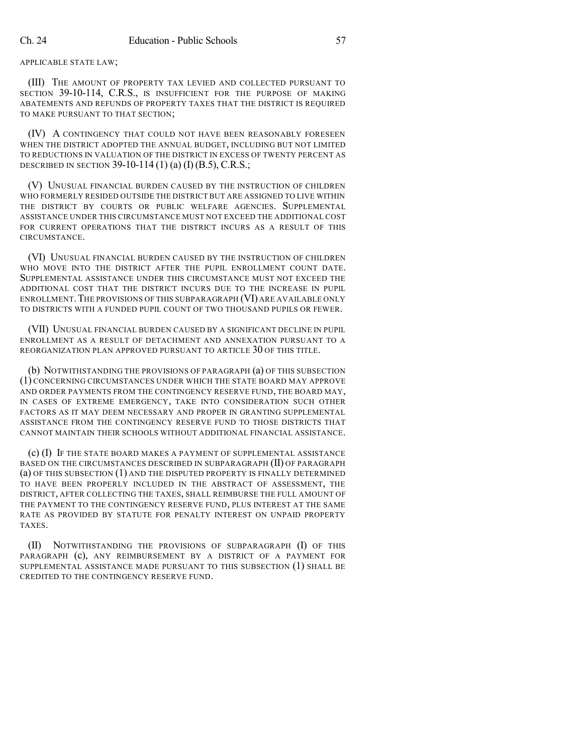APPLICABLE STATE LAW;

(III) THE AMOUNT OF PROPERTY TAX LEVIED AND COLLECTED PURSUANT TO SECTION 39-10-114, C.R.S., IS INSUFFICIENT FOR THE PURPOSE OF MAKING ABATEMENTS AND REFUNDS OF PROPERTY TAXES THAT THE DISTRICT IS REQUIRED TO MAKE PURSUANT TO THAT SECTION;

(IV) A CONTINGENCY THAT COULD NOT HAVE BEEN REASONABLY FORESEEN WHEN THE DISTRICT ADOPTED THE ANNUAL BUDGET, INCLUDING BUT NOT LIMITED TO REDUCTIONS IN VALUATION OF THE DISTRICT IN EXCESS OF TWENTY PERCENT AS DESCRIBED IN SECTION 39-10-114 (1) (a) (I) (B.5), C.R.S.;

(V) UNUSUAL FINANCIAL BURDEN CAUSED BY THE INSTRUCTION OF CHILDREN WHO FORMERLY RESIDED OUTSIDE THE DISTRICT BUT ARE ASSIGNED TO LIVE WITHIN THE DISTRICT BY COURTS OR PUBLIC WELFARE AGENCIES. SUPPLEMENTAL ASSISTANCE UNDER THIS CIRCUMSTANCE MUST NOT EXCEED THE ADDITIONAL COST FOR CURRENT OPERATIONS THAT THE DISTRICT INCURS AS A RESULT OF THIS CIRCUMSTANCE.

(VI) UNUSUAL FINANCIAL BURDEN CAUSED BY THE INSTRUCTION OF CHILDREN WHO MOVE INTO THE DISTRICT AFTER THE PUPIL ENROLLMENT COUNT DATE. SUPPLEMENTAL ASSISTANCE UNDER THIS CIRCUMSTANCE MUST NOT EXCEED THE ADDITIONAL COST THAT THE DISTRICT INCURS DUE TO THE INCREASE IN PUPIL ENROLLMENT. THE PROVISIONS OF THIS SUBPARAGRAPH (VI) ARE AVAILABLE ONLY TO DISTRICTS WITH A FUNDED PUPIL COUNT OF TWO THOUSAND PUPILS OR FEWER.

(VII) UNUSUAL FINANCIAL BURDEN CAUSED BY A SIGNIFICANT DECLINE IN PUPIL ENROLLMENT AS A RESULT OF DETACHMENT AND ANNEXATION PURSUANT TO A REORGANIZATION PLAN APPROVED PURSUANT TO ARTICLE 30 OF THIS TITLE.

(b) NOTWITHSTANDING THE PROVISIONS OF PARAGRAPH (a) OF THIS SUBSECTION (1) CONCERNING CIRCUMSTANCES UNDER WHICH THE STATE BOARD MAY APPROVE AND ORDER PAYMENTS FROM THE CONTINGENCY RESERVE FUND, THE BOARD MAY, IN CASES OF EXTREME EMERGENCY, TAKE INTO CONSIDERATION SUCH OTHER FACTORS AS IT MAY DEEM NECESSARY AND PROPER IN GRANTING SUPPLEMENTAL ASSISTANCE FROM THE CONTINGENCY RESERVE FUND TO THOSE DISTRICTS THAT CANNOT MAINTAIN THEIR SCHOOLS WITHOUT ADDITIONAL FINANCIAL ASSISTANCE.

(c) (I) IF THE STATE BOARD MAKES A PAYMENT OF SUPPLEMENTAL ASSISTANCE BASED ON THE CIRCUMSTANCES DESCRIBED IN SUBPARAGRAPH (II) OF PARAGRAPH (a) OF THIS SUBSECTION (1) AND THE DISPUTED PROPERTY IS FINALLY DETERMINED TO HAVE BEEN PROPERLY INCLUDED IN THE ABSTRACT OF ASSESSMENT, THE DISTRICT, AFTER COLLECTING THE TAXES, SHALL REIMBURSE THE FULL AMOUNT OF THE PAYMENT TO THE CONTINGENCY RESERVE FUND, PLUS INTEREST AT THE SAME RATE AS PROVIDED BY STATUTE FOR PENALTY INTEREST ON UNPAID PROPERTY TAXES.

(II) NOTWITHSTANDING THE PROVISIONS OF SUBPARAGRAPH (I) OF THIS PARAGRAPH (c), ANY REIMBURSEMENT BY A DISTRICT OF A PAYMENT FOR SUPPLEMENTAL ASSISTANCE MADE PURSUANT TO THIS SUBSECTION (1) SHALL BE CREDITED TO THE CONTINGENCY RESERVE FUND.